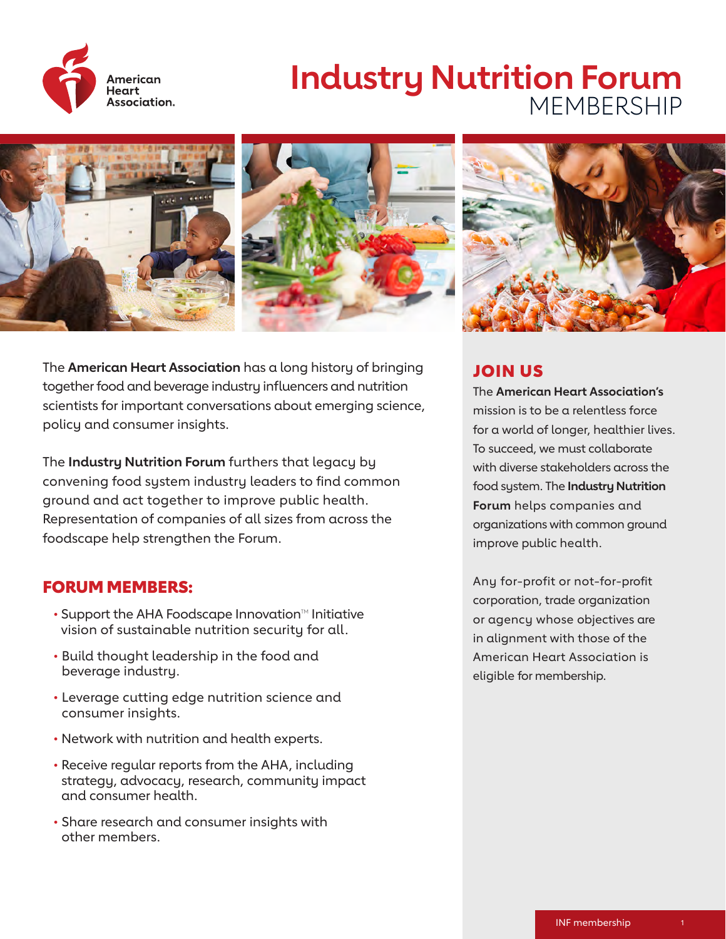

# **Industry Nutrition Forum**  MEMBERSHIP



The **American Heart Association** has a long history of bringing together food and beverage industry influencers and nutrition scientists for important conversations about emerging science, policy and consumer insights.

The **Industry Nutrition Forum** furthers that legacy by convening food system industry leaders to find common ground and act together to improve public health. Representation of companies of all sizes from across the foodscape help strengthen the Forum.

## FORUM MEMBERS:

- $\cdot$  Support the AHA Foodscape Innovation<sup> $M$ </sup> Initiative vision of sustainable nutrition security for all.
- Build thought leadership in the food and beverage industry.
- Leverage cutting edge nutrition science and consumer insights.
- Network with nutrition and health experts.
- Receive regular reports from the AHA, including strategy, advocacy, research, community impact and consumer health.
- Share research and consumer insights with other members.



# JOIN US

The **American Heart Association's**  mission is to be a relentless force for a world of longer, healthier lives. To succeed, we must collaborate with diverse stakeholders across the food system. The **Industry Nutrition Forum** helps companies and organizations with common ground improve public health.

Any for-profit or not-for-profit corporation, trade organization or agency whose objectives are in alignment with those of the American Heart Association is eligible for membership.